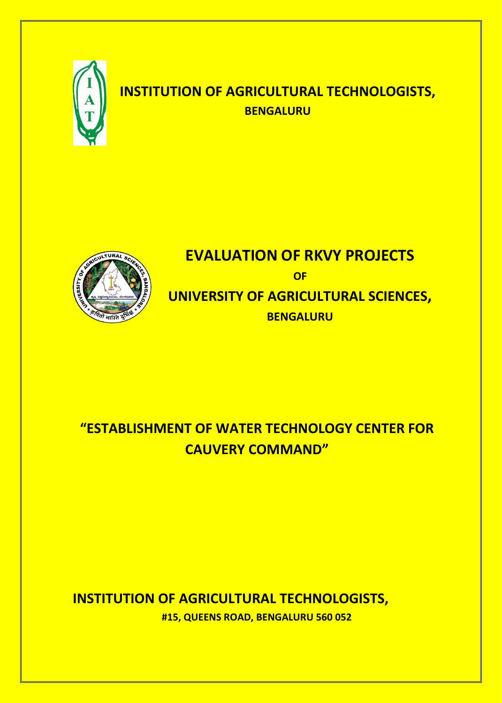

# **INSTITUTION OF AGRICULTURAL TECHNOLOGISTS, BENGALURU**



# **EVALUATION OF RKVY PROJECTS OF UNIVERSITY OF AGRICULTURAL SCIENCES, BENGALURU**

# **"ESTABLISHMENT OF WATER TECHNOLOGY CENTER FOR CAUVERY COMMAND"**

## **INSTITUTION OF AGRICULTURAL TECHNOLOGISTS, #15, QUEENS ROAD, BENGALURU 560 052**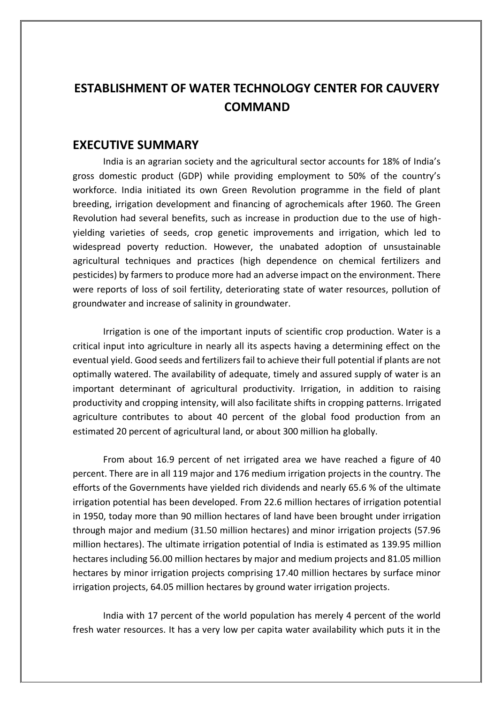## **ESTABLISHMENT OF WATER TECHNOLOGY CENTER FOR CAUVERY COMMAND**

#### **EXECUTIVE SUMMARY**

India is an agrarian society and the agricultural sector accounts for 18% of India's gross domestic product (GDP) while providing employment to 50% of the country's workforce. India initiated its own Green Revolution programme in the field of plant breeding, irrigation development and financing of agrochemicals after 1960. The Green Revolution had several benefits, such as increase in production due to the use of highyielding varieties of seeds, crop genetic improvements and irrigation, which led to widespread poverty reduction. However, the unabated adoption of unsustainable agricultural techniques and practices (high dependence on chemical fertilizers and pesticides) by farmers to produce more had an adverse impact on the environment. There were reports of loss of soil fertility, deteriorating state of water resources, pollution of groundwater and increase of salinity in groundwater.

Irrigation is one of the important inputs of scientific crop production. Water is a critical input into agriculture in nearly all its aspects having a determining effect on the eventual yield. Good seeds and fertilizers fail to achieve their full potential if plants are not optimally watered. The availability of adequate, timely and assured supply of water is an important determinant of agricultural productivity. Irrigation, in addition to raising productivity and cropping intensity, will also facilitate shifts in cropping patterns. Irrigated agriculture contributes to about 40 percent of the global food production from an estimated 20 percent of agricultural land, or about 300 million ha globally.

From about 16.9 percent of net irrigated area we have reached a figure of 40 percent. There are in all 119 major and 176 medium irrigation projects in the country. The efforts of the Governments have yielded rich dividends and nearly 65.6 % of the ultimate irrigation potential has been developed. From 22.6 million hectares of irrigation potential in 1950, today more than 90 million hectares of land have been brought under irrigation through major and medium (31.50 million hectares) and minor irrigation projects (57.96 million hectares). The ultimate irrigation potential of India is estimated as 139.95 million hectares including 56.00 million hectares by major and medium projects and 81.05 million hectares by minor irrigation projects comprising 17.40 million hectares by surface minor irrigation projects, 64.05 million hectares by ground water irrigation projects.

India with 17 percent of the world population has merely 4 percent of the world fresh water resources. It has a very low per capita water availability which puts it in the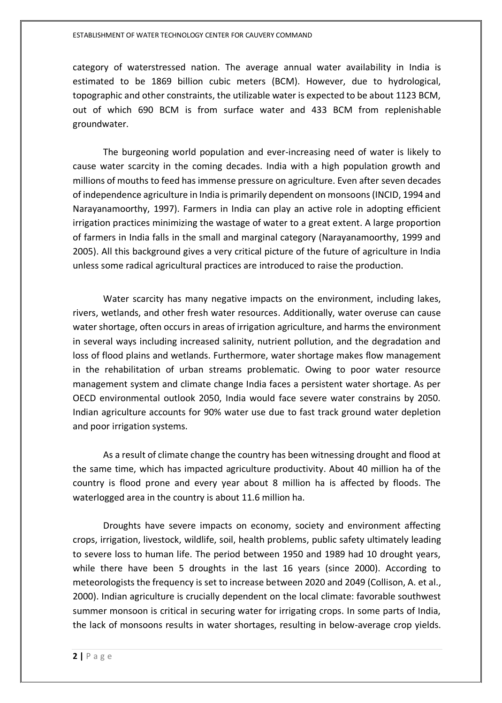category of waterstressed nation. The average annual water availability in India is estimated to be 1869 billion cubic meters (BCM). However, due to hydrological, topographic and other constraints, the utilizable water is expected to be about 1123 BCM, out of which 690 BCM is from surface water and 433 BCM from replenishable groundwater.

The burgeoning world population and ever-increasing need of water is likely to cause water scarcity in the coming decades. India with a high population growth and millions of mouths to feed has immense pressure on agriculture. Even after seven decades of independence agriculture in India is primarily dependent on monsoons (INCID, 1994 and Narayanamoorthy, 1997). Farmers in India can play an active role in adopting efficient irrigation practices minimizing the wastage of water to a great extent. A large proportion of farmers in India falls in the small and marginal category (Narayanamoorthy, 1999 and 2005). All this background gives a very critical picture of the future of agriculture in India unless some radical agricultural practices are introduced to raise the production.

Water scarcity has many negative impacts on the environment, including lakes, rivers, wetlands, and other fresh water resources. Additionally, water overuse can cause water shortage, often occurs in areas of irrigation agriculture, and harms the environment in several ways including increased salinity, nutrient pollution, and the degradation and loss of flood plains and wetlands. Furthermore, water shortage makes flow management in the rehabilitation of urban streams problematic. Owing to poor water resource management system and climate change India faces a persistent water shortage. As per OECD environmental outlook 2050, India would face severe water constrains by 2050. Indian agriculture accounts for 90% water use due to fast track ground water depletion and poor irrigation systems.

As a result of climate change the country has been witnessing drought and flood at the same time, which has impacted agriculture productivity. About 40 million ha of the country is flood prone and every year about 8 million ha is affected by floods. The waterlogged area in the country is about 11.6 million ha.

Droughts have severe impacts on economy, society and environment affecting crops, irrigation, livestock, wildlife, soil, health problems, public safety ultimately leading to severe loss to human life. The period between 1950 and 1989 had 10 drought years, while there have been 5 droughts in the last 16 years (since 2000). According to meteorologists the frequency is set to increase between 2020 and 2049 (Collison, A. et al., 2000). Indian agriculture is crucially dependent on the local climate: favorable southwest summer monsoon is critical in securing water for irrigating crops. In some parts of India, the lack of monsoons results in water shortages, resulting in below-average crop yields.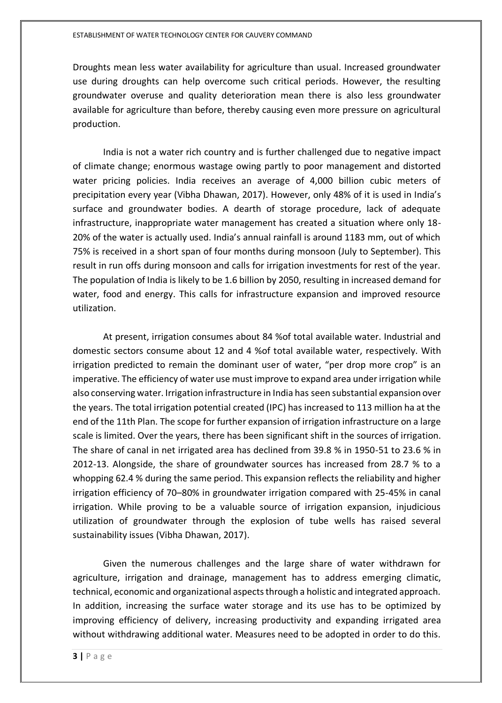Droughts mean less water availability for agriculture than usual. Increased groundwater use during droughts can help overcome such critical periods. However, the resulting groundwater overuse and quality deterioration mean there is also less groundwater available for agriculture than before, thereby causing even more pressure on agricultural production.

India is not a water rich country and is further challenged due to negative impact of climate change; enormous wastage owing partly to poor management and distorted water pricing policies. India receives an average of 4,000 billion cubic meters of precipitation every year (Vibha Dhawan, 2017). However, only 48% of it is used in India's surface and groundwater bodies. A dearth of storage procedure, lack of adequate infrastructure, inappropriate water management has created a situation where only 18- 20% of the water is actually used. India's annual rainfall is around 1183 mm, out of which 75% is received in a short span of four months during monsoon (July to September). This result in run offs during monsoon and calls for irrigation investments for rest of the year. The population of India is likely to be 1.6 billion by 2050, resulting in increased demand for water, food and energy. This calls for infrastructure expansion and improved resource utilization.

At present, irrigation consumes about 84 %of total available water. Industrial and domestic sectors consume about 12 and 4 %of total available water, respectively. With irrigation predicted to remain the dominant user of water, "per drop more crop" is an imperative. The efficiency of water use must improve to expand area under irrigation while also conserving water. Irrigation infrastructure in India has seen substantial expansion over the years. The total irrigation potential created (IPC) has increased to 113 million ha at the end of the 11th Plan. The scope for further expansion of irrigation infrastructure on a large scale is limited. Over the years, there has been significant shift in the sources of irrigation. The share of canal in net irrigated area has declined from 39.8 % in 1950-51 to 23.6 % in 2012-13. Alongside, the share of groundwater sources has increased from 28.7 % to a whopping 62.4 % during the same period. This expansion reflects the reliability and higher irrigation efficiency of 70–80% in groundwater irrigation compared with 25-45% in canal irrigation. While proving to be a valuable source of irrigation expansion, injudicious utilization of groundwater through the explosion of tube wells has raised several sustainability issues (Vibha Dhawan, 2017).

Given the numerous challenges and the large share of water withdrawn for agriculture, irrigation and drainage, management has to address emerging climatic, technical, economic and organizational aspects through a holistic and integrated approach. In addition, increasing the surface water storage and its use has to be optimized by improving efficiency of delivery, increasing productivity and expanding irrigated area without withdrawing additional water. Measures need to be adopted in order to do this.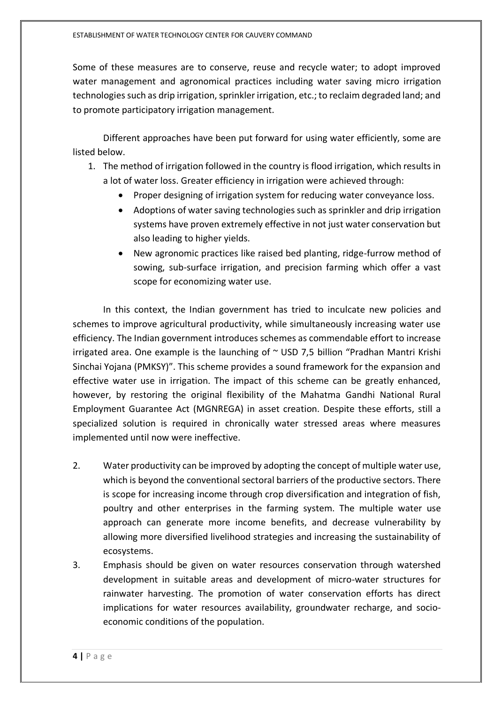Some of these measures are to conserve, reuse and recycle water; to adopt improved water management and agronomical practices including water saving micro irrigation technologies such as drip irrigation, sprinkler irrigation, etc.; to reclaim degraded land; and to promote participatory irrigation management.

Different approaches have been put forward for using water efficiently, some are listed below.

- 1. The method of irrigation followed in the country is flood irrigation, which results in a lot of water loss. Greater efficiency in irrigation were achieved through:
	- Proper designing of irrigation system for reducing water conveyance loss.
	- Adoptions of water saving technologies such as sprinkler and drip irrigation systems have proven extremely effective in not just water conservation but also leading to higher yields.
	- New agronomic practices like raised bed planting, ridge-furrow method of sowing, sub-surface irrigation, and precision farming which offer a vast scope for economizing water use.

In this context, the Indian government has tried to inculcate new policies and schemes to improve agricultural productivity, while simultaneously increasing water use efficiency. The Indian government introduces schemes as commendable effort to increase irrigated area. One example is the launching of  $\sim$  USD 7,5 billion "Pradhan Mantri Krishi Sinchai Yojana (PMKSY)". This scheme provides a sound framework for the expansion and effective water use in irrigation. The impact of this scheme can be greatly enhanced, however, by restoring the original flexibility of the Mahatma Gandhi National Rural Employment Guarantee Act (MGNREGA) in asset creation. Despite these efforts, still a specialized solution is required in chronically water stressed areas where measures implemented until now were ineffective.

- 2. Water productivity can be improved by adopting the concept of multiple water use, which is beyond the conventional sectoral barriers of the productive sectors. There is scope for increasing income through crop diversification and integration of fish, poultry and other enterprises in the farming system. The multiple water use approach can generate more income benefits, and decrease vulnerability by allowing more diversified livelihood strategies and increasing the sustainability of ecosystems.
- 3. Emphasis should be given on water resources conservation through watershed development in suitable areas and development of micro-water structures for rainwater harvesting. The promotion of water conservation efforts has direct implications for water resources availability, groundwater recharge, and socioeconomic conditions of the population.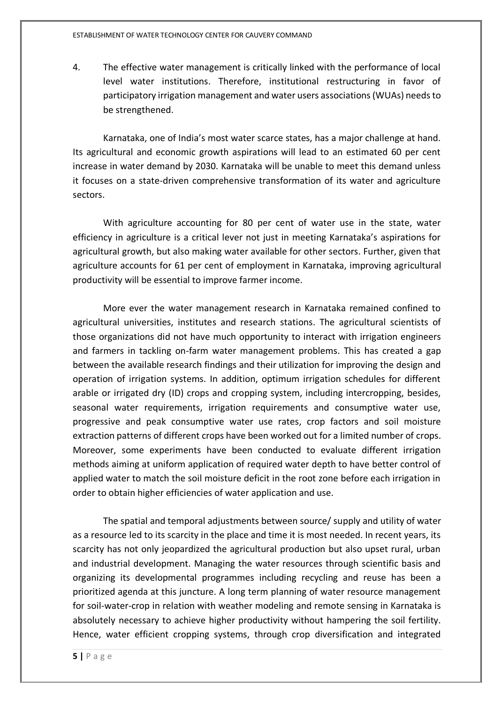4. The effective water management is critically linked with the performance of local level water institutions. Therefore, institutional restructuring in favor of participatory irrigation management and water users associations (WUAs) needs to be strengthened.

Karnataka, one of India's most water scarce states, has a major challenge at hand. Its agricultural and economic growth aspirations will lead to an estimated 60 per cent increase in water demand by 2030. Karnataka will be unable to meet this demand unless it focuses on a state-driven comprehensive transformation of its water and agriculture sectors.

With agriculture accounting for 80 per cent of water use in the state, water efficiency in agriculture is a critical lever not just in meeting Karnataka's aspirations for agricultural growth, but also making water available for other sectors. Further, given that agriculture accounts for 61 per cent of employment in Karnataka, improving agricultural productivity will be essential to improve farmer income.

More ever the water management research in Karnataka remained confined to agricultural universities, institutes and research stations. The agricultural scientists of those organizations did not have much opportunity to interact with irrigation engineers and farmers in tackling on-farm water management problems. This has created a gap between the available research findings and their utilization for improving the design and operation of irrigation systems. In addition, optimum irrigation schedules for different arable or irrigated dry (ID) crops and cropping system, including intercropping, besides, seasonal water requirements, irrigation requirements and consumptive water use, progressive and peak consumptive water use rates, crop factors and soil moisture extraction patterns of different crops have been worked out for a limited number of crops. Moreover, some experiments have been conducted to evaluate different irrigation methods aiming at uniform application of required water depth to have better control of applied water to match the soil moisture deficit in the root zone before each irrigation in order to obtain higher efficiencies of water application and use.

The spatial and temporal adjustments between source/ supply and utility of water as a resource led to its scarcity in the place and time it is most needed. In recent years, its scarcity has not only jeopardized the agricultural production but also upset rural, urban and industrial development. Managing the water resources through scientific basis and organizing its developmental programmes including recycling and reuse has been a prioritized agenda at this juncture. A long term planning of water resource management for soil-water-crop in relation with weather modeling and remote sensing in Karnataka is absolutely necessary to achieve higher productivity without hampering the soil fertility. Hence, water efficient cropping systems, through crop diversification and integrated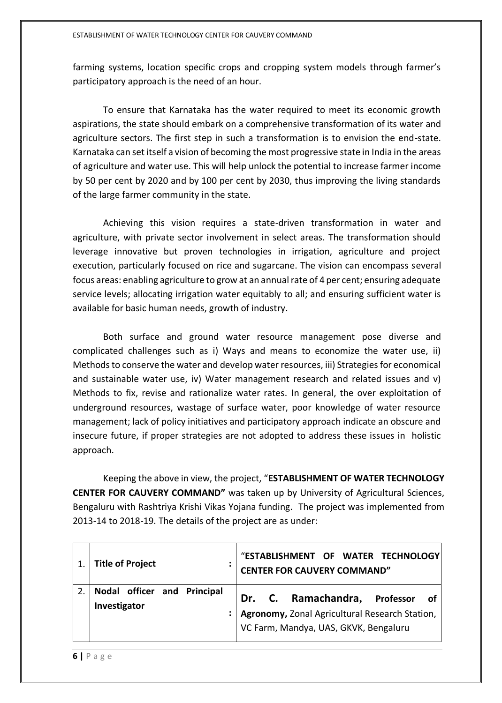farming systems, location specific crops and cropping system models through farmer's participatory approach is the need of an hour.

To ensure that Karnataka has the water required to meet its economic growth aspirations, the state should embark on a comprehensive transformation of its water and agriculture sectors. The first step in such a transformation is to envision the end-state. Karnataka can set itself a vision of becoming the most progressive state in India in the areas of agriculture and water use. This will help unlock the potential to increase farmer income by 50 per cent by 2020 and by 100 per cent by 2030, thus improving the living standards of the large farmer community in the state.

Achieving this vision requires a state-driven transformation in water and agriculture, with private sector involvement in select areas. The transformation should leverage innovative but proven technologies in irrigation, agriculture and project execution, particularly focused on rice and sugarcane. The vision can encompass several focus areas: enabling agriculture to grow at an annual rate of 4 per cent; ensuring adequate service levels; allocating irrigation water equitably to all; and ensuring sufficient water is available for basic human needs, growth of industry.

Both surface and ground water resource management pose diverse and complicated challenges such as i) Ways and means to economize the water use, ii) Methods to conserve the water and develop water resources, iii) Strategies for economical and sustainable water use, iv) Water management research and related issues and v) Methods to fix, revise and rationalize water rates. In general, the over exploitation of underground resources, wastage of surface water, poor knowledge of water resource management; lack of policy initiatives and participatory approach indicate an obscure and insecure future, if proper strategies are not adopted to address these issues in holistic approach.

Keeping the above in view, the project, "**ESTABLISHMENT OF WATER TECHNOLOGY CENTER FOR CAUVERY COMMAND"** was taken up by University of Agricultural Sciences, Bengaluru with Rashtriya Krishi Vikas Yojana funding. The project was implemented from 2013-14 to 2018-19. The details of the project are as under:

| <b>Title of Project</b>                     | "ESTABLISHMENT OF WATER TECHNOLOGY<br><b>CENTER FOR CAUVERY COMMAND"</b>                                                    |
|---------------------------------------------|-----------------------------------------------------------------------------------------------------------------------------|
| Nodal officer and Principal<br>Investigator | Dr. C. Ramachandra, Professor of<br>Agronomy, Zonal Agricultural Research Station,<br>VC Farm, Mandya, UAS, GKVK, Bengaluru |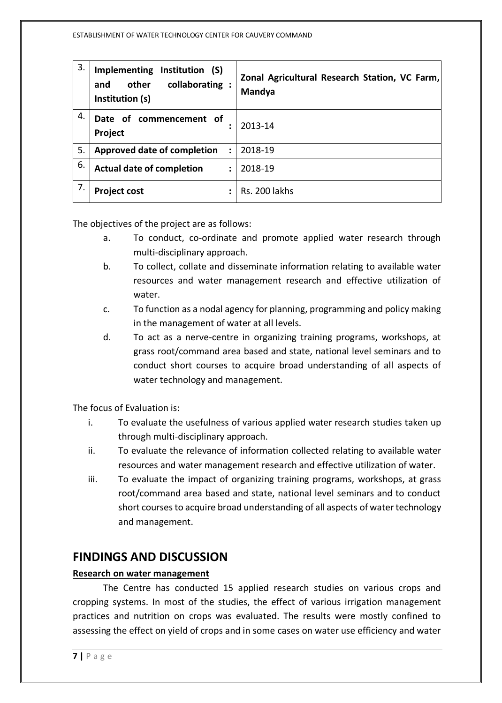| 3. | Implementing Institution (S)<br>collaborating<br>other<br>and<br>Institution (s) |                      | Zonal Agricultural Research Station, VC Farm,<br>Mandya |
|----|----------------------------------------------------------------------------------|----------------------|---------------------------------------------------------|
| 4. | Date of commencement of<br>Project                                               |                      | 2013-14                                                 |
| 5. | Approved date of completion                                                      | $\ddot{\phantom{a}}$ | 2018-19                                                 |
| 6. | <b>Actual date of completion</b>                                                 | :                    | 2018-19                                                 |
| 7. | <b>Project cost</b>                                                              | :                    | Rs. 200 lakhs                                           |

The objectives of the project are as follows:

- a. To conduct, co-ordinate and promote applied water research through multi-disciplinary approach.
- b. To collect, collate and disseminate information relating to available water resources and water management research and effective utilization of water.
- c. To function as a nodal agency for planning, programming and policy making in the management of water at all levels.
- d. To act as a nerve-centre in organizing training programs, workshops, at grass root/command area based and state, national level seminars and to conduct short courses to acquire broad understanding of all aspects of water technology and management.

The focus of Evaluation is:

- i. To evaluate the usefulness of various applied water research studies taken up through multi-disciplinary approach.
- ii. To evaluate the relevance of information collected relating to available water resources and water management research and effective utilization of water.
- iii. To evaluate the impact of organizing training programs, workshops, at grass root/command area based and state, national level seminars and to conduct short courses to acquire broad understanding of all aspects of water technology and management.

### **FINDINGS AND DISCUSSION**

#### **Research on water management**

The Centre has conducted 15 applied research studies on various crops and cropping systems. In most of the studies, the effect of various irrigation management practices and nutrition on crops was evaluated. The results were mostly confined to assessing the effect on yield of crops and in some cases on water use efficiency and water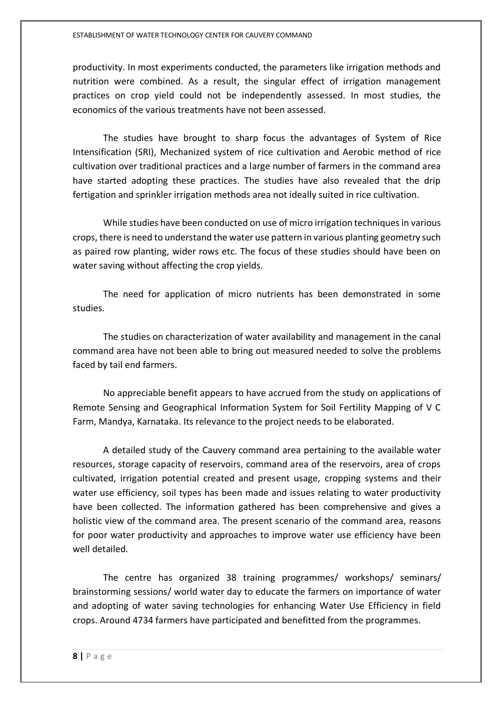productivity. In most experiments conducted, the parameters like irrigation methods and nutrition were combined. As a result, the singular effect of irrigation management practices on crop yield could not be independently assessed. In most studies, the economics of the various treatments have not been assessed.

The studies have brought to sharp focus the advantages of System of Rice Intensification (SRI), Mechanized system of rice cultivation and Aerobic method of rice cultivation over traditional practices and a large number of farmers in the command area have started adopting these practices. The studies have also revealed that the drip fertigation and sprinkler irrigation methods area not ideally suited in rice cultivation.

While studies have been conducted on use of micro irrigation techniques in various crops, there is need to understand the water use pattern in various planting geometry such as paired row planting, wider rows etc. The focus of these studies should have been on water saving without affecting the crop yields.

The need for application of micro nutrients has been demonstrated in some studies.

The studies on characterization of water availability and management in the canal command area have not been able to bring out measured needed to solve the problems faced by tail end farmers.

No appreciable benefit appears to have accrued from the study on applications of Remote Sensing and Geographical Information System for Soil Fertility Mapping of V C Farm, Mandya, Karnataka. Its relevance to the project needs to be elaborated.

A detailed study of the Cauvery command area pertaining to the available water resources, storage capacity of reservoirs, command area of the reservoirs, area of crops cultivated, irrigation potential created and present usage, cropping systems and their water use efficiency, soil types has been made and issues relating to water productivity have been collected. The information gathered has been comprehensive and gives a holistic view of the command area. The present scenario of the command area, reasons for poor water productivity and approaches to improve water use efficiency have been well detailed.

The centre has organized 38 training programmes/ workshops/ seminars/ brainstorming sessions/ world water day to educate the farmers on importance of water and adopting of water saving technologies for enhancing Water Use Efficiency in field crops. Around 4734 farmers have participated and benefitted from the programmes.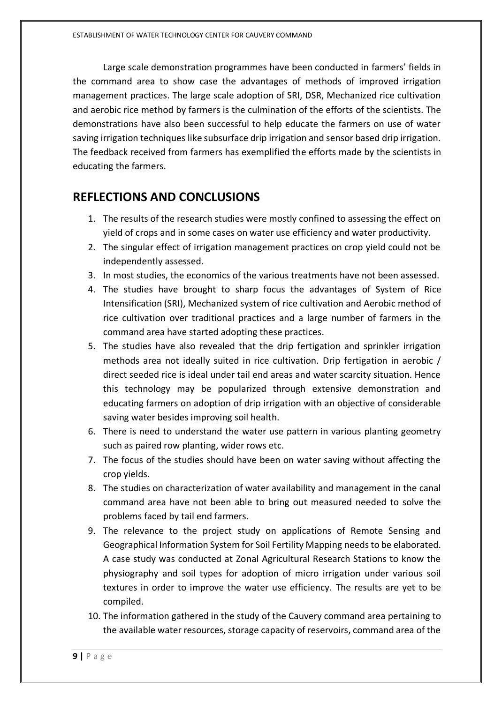Large scale demonstration programmes have been conducted in farmers' fields in the command area to show case the advantages of methods of improved irrigation management practices. The large scale adoption of SRI, DSR, Mechanized rice cultivation and aerobic rice method by farmers is the culmination of the efforts of the scientists. The demonstrations have also been successful to help educate the farmers on use of water saving irrigation techniques like subsurface drip irrigation and sensor based drip irrigation. The feedback received from farmers has exemplified the efforts made by the scientists in educating the farmers.

### **REFLECTIONS AND CONCLUSIONS**

- 1. The results of the research studies were mostly confined to assessing the effect on yield of crops and in some cases on water use efficiency and water productivity.
- 2. The singular effect of irrigation management practices on crop yield could not be independently assessed.
- 3. In most studies, the economics of the various treatments have not been assessed.
- 4. The studies have brought to sharp focus the advantages of System of Rice Intensification (SRI), Mechanized system of rice cultivation and Aerobic method of rice cultivation over traditional practices and a large number of farmers in the command area have started adopting these practices.
- 5. The studies have also revealed that the drip fertigation and sprinkler irrigation methods area not ideally suited in rice cultivation. Drip fertigation in aerobic / direct seeded rice is ideal under tail end areas and water scarcity situation. Hence this technology may be popularized through extensive demonstration and educating farmers on adoption of drip irrigation with an objective of considerable saving water besides improving soil health.
- 6. There is need to understand the water use pattern in various planting geometry such as paired row planting, wider rows etc.
- 7. The focus of the studies should have been on water saving without affecting the crop yields.
- 8. The studies on characterization of water availability and management in the canal command area have not been able to bring out measured needed to solve the problems faced by tail end farmers.
- 9. The relevance to the project study on applications of Remote Sensing and Geographical Information System for Soil Fertility Mapping needs to be elaborated. A case study was conducted at Zonal Agricultural Research Stations to know the physiography and soil types for adoption of micro irrigation under various soil textures in order to improve the water use efficiency. The results are yet to be compiled.
- 10. The information gathered in the study of the Cauvery command area pertaining to the available water resources, storage capacity of reservoirs, command area of the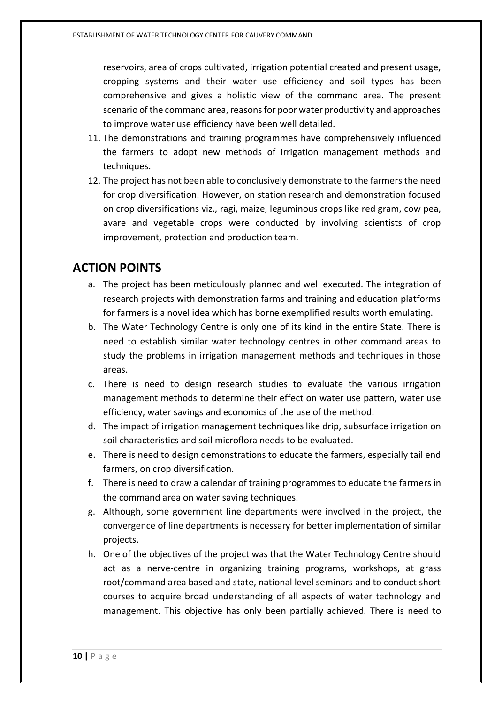reservoirs, area of crops cultivated, irrigation potential created and present usage, cropping systems and their water use efficiency and soil types has been comprehensive and gives a holistic view of the command area. The present scenario of the command area, reasons for poor water productivity and approaches to improve water use efficiency have been well detailed.

- 11. The demonstrations and training programmes have comprehensively influenced the farmers to adopt new methods of irrigation management methods and techniques.
- 12. The project has not been able to conclusively demonstrate to the farmers the need for crop diversification. However, on station research and demonstration focused on crop diversifications viz., ragi, maize, leguminous crops like red gram, cow pea, avare and vegetable crops were conducted by involving scientists of crop improvement, protection and production team.

### **ACTION POINTS**

- a. The project has been meticulously planned and well executed. The integration of research projects with demonstration farms and training and education platforms for farmers is a novel idea which has borne exemplified results worth emulating.
- b. The Water Technology Centre is only one of its kind in the entire State. There is need to establish similar water technology centres in other command areas to study the problems in irrigation management methods and techniques in those areas.
- c. There is need to design research studies to evaluate the various irrigation management methods to determine their effect on water use pattern, water use efficiency, water savings and economics of the use of the method.
- d. The impact of irrigation management techniques like drip, subsurface irrigation on soil characteristics and soil microflora needs to be evaluated.
- e. There is need to design demonstrations to educate the farmers, especially tail end farmers, on crop diversification.
- f. There is need to draw a calendar of training programmes to educate the farmers in the command area on water saving techniques.
- g. Although, some government line departments were involved in the project, the convergence of line departments is necessary for better implementation of similar projects.
- h. One of the objectives of the project was that the Water Technology Centre should act as a nerve-centre in organizing training programs, workshops, at grass root/command area based and state, national level seminars and to conduct short courses to acquire broad understanding of all aspects of water technology and management. This objective has only been partially achieved. There is need to